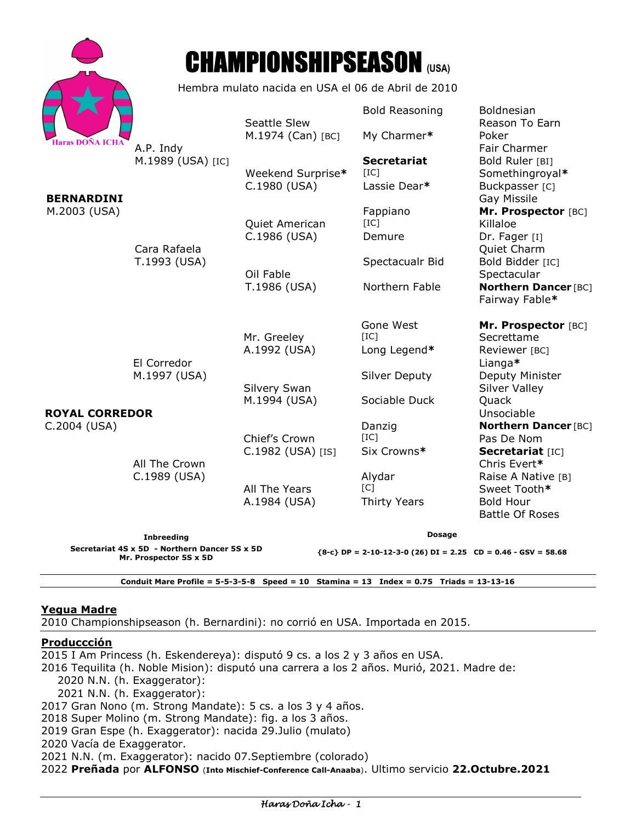| Haras DOÑA ICHA |
|-----------------|

# CHAMPIONSHIPSEASON **(USA)**

Hembra mulato nacida en USA el 06 de Abril de 2010

| <b>Haras DOÑA ICHA</b>                                                                       | A.P. Indy<br>M.1989 (USA) [IC] | Seattle Slew<br>M.1974 (Can) [BC]<br>Weekend Surprise*<br>C.1980 (USA) | <b>Bold Reasoning</b><br>My Charmer*<br><b>Secretariat</b><br>[IC]<br>Lassie Dear* | <b>Boldnesian</b><br>Reason To Earn<br>Poker<br>Fair Charmer<br>Bold Ruler [BI]<br>Somethingroyal*<br>Buckpasser [C]                                               |  |
|----------------------------------------------------------------------------------------------|--------------------------------|------------------------------------------------------------------------|------------------------------------------------------------------------------------|--------------------------------------------------------------------------------------------------------------------------------------------------------------------|--|
| <b>BERNARDINI</b><br>M.2003 (USA)                                                            | Cara Rafaela<br>T.1993 (USA)   | Quiet American<br>C.1986 (USA)<br>Oil Fable<br>T.1986 (USA)            | Fappiano<br>[IC]<br>Demure<br>Spectacualr Bid<br>Northern Fable                    | Gay Missile<br>Mr. Prospector [BC]<br>Killaloe<br>Dr. Fager [I]<br>Quiet Charm<br>Bold Bidder [IC]<br>Spectacular<br><b>Northern Dancer [BC]</b><br>Fairway Fable* |  |
| <b>ROYAL CORREDOR</b>                                                                        | El Corredor<br>M.1997 (USA)    | Mr. Greeley<br>A.1992 (USA)<br>Silvery Swan<br>M.1994 (USA)            | Gone West<br>[IC]<br>Long Legend*<br><b>Silver Deputy</b><br>Sociable Duck         | Mr. Prospector [BC]<br>Secrettame<br>Reviewer [BC]<br>Lianga*<br>Deputy Minister<br><b>Silver Valley</b><br>Quack<br>Unsociable                                    |  |
| C.2004 (USA)                                                                                 | All The Crown<br>C.1989 (USA)  | Chief's Crown<br>C.1982 (USA) [IS]<br>All The Years<br>A.1984 (USA)    | Danzig<br>[IC]<br>Six Crowns*<br>Alydar<br>[C]<br>Thirty Years                     | <b>Northern Dancer [BC]</b><br>Pas De Nom<br>Secretariat [IC]<br>Chris Evert*<br>Raise A Native [B]<br>Sweet Tooth*<br><b>Bold Hour</b><br><b>Battle Of Roses</b>  |  |
| <b>Inbreeding</b><br>Secretariat 4S x 5D - Northern Dancer 5S x 5D<br>Mr. Prospector 5S x 5D |                                |                                                                        | <b>Dosage</b><br>${8-c}$ DP = 2-10-12-3-0 (26) DI = 2.25 CD = 0.46 - GSV = 58.68   |                                                                                                                                                                    |  |

**Conduit Mare Profile = 5-5-3-5-8 Speed = 10 Stamina = 13 Index = 0.75 Triads = 13-13-16** 

## **Yegua Madre**

2010 Championshipseason (h. Bernardini): no corrió en USA. Importada en 2015.

### **Produccción**

2015 I Am Princess (h. Eskendereya): disputó 9 cs. a los 2 y 3 años en USA. 2016 Tequilita (h. Noble Mision): disputó una carrera a los 2 años. Murió, 2021. Madre de: 2020 N.N. (h. Exaggerator): 2021 N.N. (h. Exaggerator): 2017 Gran Nono (m. Strong Mandate): 5 cs. a los 3 y 4 años. 2018 Super Molino (m. Strong Mandate): fig. a los 3 años. 2019 Gran Espe (h. Exaggerator): nacida 29.Julio (mulato) 2020 Vacía de Exaggerator. 2021 N.N. (m. Exaggerator): nacido 07.Septiembre (colorado) 2022 **Preñada** por **ALFONSO** (**Into Mischief-Conference Call-Anaaba**). Ultimo servicio **22.Octubre.2021**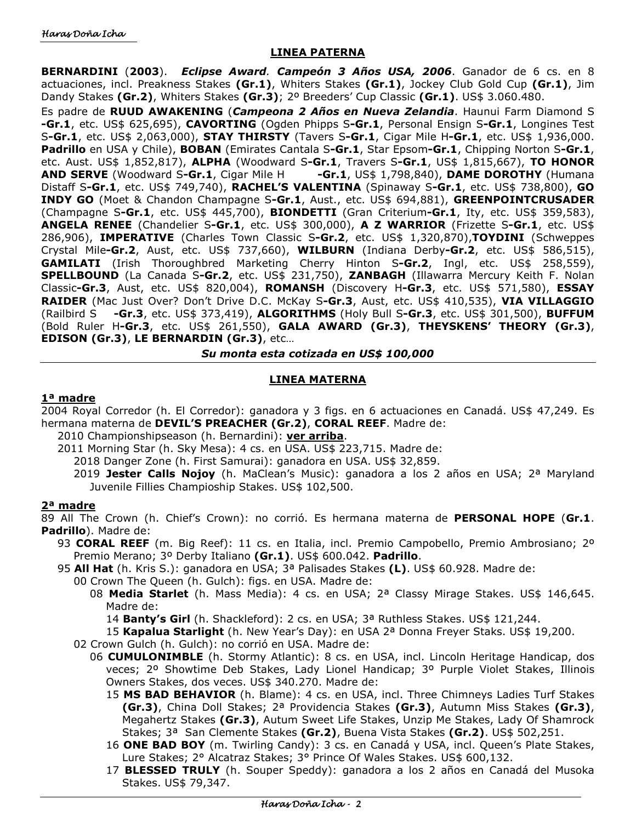## **LINEA PATERNA**

**BERNARDINI** (**2003**). *Eclipse Award. Campeón 3 Años USA, 2006*. Ganador de 6 cs. en 8 actuaciones, incl. Preakness Stakes **(Gr.1)**, Whiters Stakes **(Gr.1)**, Jockey Club Gold Cup **(Gr.1)**, Jim Dandy Stakes **(Gr.2)**, Whiters Stakes **(Gr.3)**; 2º Breeders' Cup Classic **(Gr.1)**. US\$ 3.060.480.

Es padre de **RUUD AWAKENING** (*Campeona 2 Años en Nueva Zelandia*. Haunui Farm Diamond S **-Gr.1**, etc. US\$ 625,695), **CAVORTING** (Ogden Phipps S**-Gr.1**, Personal Ensign S**-Gr.1**, Longines Test S**-Gr.1**, etc. US\$ 2,063,000), **STAY THIRSTY** (Tavers S**-Gr.1**, Cigar Mile H**-Gr.1**, etc. US\$ 1,936,000. **Padrillo** en USA y Chile), **BOBAN** (Emirates Cantala S**-Gr.1**, Star Epsom**-Gr.1**, Chipping Norton S**-Gr.1**, etc. Aust. US\$ 1,852,817), **ALPHA** (Woodward S**-Gr.1**, Travers S**-Gr.1**, US\$ 1,815,667), **TO HONOR AND SERVE** (Woodward S**-Gr.1**, Cigar Mile H **-Gr.1**, US\$ 1,798,840), **DAME DOROTHY** (Humana Distaff S**-Gr.1**, etc. US\$ 749,740), **RACHEL'S VALENTINA** (Spinaway S**-Gr.1**, etc. US\$ 738,800), **GO INDY GO** (Moet & Chandon Champagne S**-Gr.1**, Aust., etc. US\$ 694,881), **GREENPOINTCRUSADER** (Champagne S**-Gr.1**, etc. US\$ 445,700), **BIONDETTI** (Gran Criterium**-Gr.1**, Ity, etc. US\$ 359,583), **ANGELA RENEE** (Chandelier S**-Gr.1**, etc. US\$ 300,000), **A Z WARRIOR** (Frizette S**-Gr.1**, etc. US\$ 286,906), **IMPERATIVE** (Charles Town Classic S**-Gr.2**, etc. US\$ 1,320,870),**TOYDINI** (Schweppes Crystal Mile**-Gr.2**, Aust, etc. US\$ 737,660), **WILBURN** (Indiana Derby**-Gr.2**, etc. US\$ 586,515), **GAMILATI** (Irish Thoroughbred Marketing Cherry Hinton S**-Gr.2**, Ingl, etc. US\$ 258,559), **SPELLBOUND** (La Canada S**-Gr.2**, etc. US\$ 231,750), **ZANBAGH** (Illawarra Mercury Keith F. Nolan Classic**-Gr.3**, Aust, etc. US\$ 820,004), **ROMANSH** (Discovery H**-Gr.3**, etc. US\$ 571,580), **ESSAY RAIDER** (Mac Just Over? Don't Drive D.C. McKay S**-Gr.3**, Aust, etc. US\$ 410,535), **VIA VILLAGGIO** (Railbird S **-Gr.3**, etc. US\$ 373,419), **ALGORITHMS** (Holy Bull S**-Gr.3**, etc. US\$ 301,500), **BUFFUM** (Bold Ruler H**-Gr.3**, etc. US\$ 261,550), **GALA AWARD (Gr.3)**, **THEYSKENS' THEORY (Gr.3)**, **EDISON (Gr.3)**, **LE BERNARDIN (Gr.3)**, etc…

*Su monta esta cotizada en US\$ 100,000* 

## **LINEA MATERNA**

### **1ª madre**

2004 Royal Corredor (h. El Corredor): ganadora y 3 figs. en 6 actuaciones en Canadá. US\$ 47,249. Es hermana materna de **DEVIL'S PREACHER (Gr.2)**, **CORAL REEF**. Madre de:

- 2010 Championshipseason (h. Bernardini): **ver arriba**.
	- 2011 Morning Star (h. Sky Mesa): 4 cs. en USA. US\$ 223,715. Madre de:
		- 2018 Danger Zone (h. First Samurai): ganadora en USA. US\$ 32,859.
		- 2019 **Jester Calls Nojoy** (h. MaClean's Music): ganadora a los 2 años en USA; 2ª Maryland Juvenile Fillies Champioship Stakes. US\$ 102,500.

## **2ª madre**

89 All The Crown (h. Chief's Crown): no corrió. Es hermana materna de **PERSONAL HOPE** (**Gr.1**. **Padrillo**). Madre de:

- 93 **CORAL REEF** (m. Big Reef): 11 cs. en Italia, incl. Premio Campobello, Premio Ambrosiano; 2º Premio Merano; 3º Derby Italiano **(Gr.1)**. US\$ 600.042. **Padrillo**.
- 95 **All Hat** (h. Kris S.): ganadora en USA; 3ª Palisades Stakes **(L)**. US\$ 60.928. Madre de:
	- 00 Crown The Queen (h. Gulch): figs. en USA. Madre de:
		- 08 **Media Starlet** (h. Mass Media): 4 cs. en USA; 2ª Classy Mirage Stakes. US\$ 146,645. Madre de:

14 **Banty's Girl** (h. Shackleford): 2 cs. en USA; 3ª Ruthless Stakes. US\$ 121,244.

15 **Kapalua Starlight** (h. New Year's Day): en USA 2ª Donna Freyer Staks. US\$ 19,200.

- 02 Crown Gulch (h. Gulch): no corrió en USA. Madre de:
	- 06 **CUMULONIMBLE** (h. Stormy Atlantic): 8 cs. en USA, incl. Lincoln Heritage Handicap, dos veces; 2º Showtime Deb Stakes, Lady Lionel Handicap; 3º Purple Violet Stakes, Illinois Owners Stakes, dos veces. US\$ 340.270. Madre de:
		- 15 **MS BAD BEHAVIOR** (h. Blame): 4 cs. en USA, incl. Three Chimneys Ladies Turf Stakes **(Gr.3)**, China Doll Stakes; 2ª Providencia Stakes **(Gr.3)**, Autumn Miss Stakes **(Gr.3)**, Megahertz Stakes **(Gr.3)**, Autum Sweet Life Stakes, Unzip Me Stakes, Lady Of Shamrock Stakes; 3ª San Clemente Stakes **(Gr.2)**, Buena Vista Stakes **(Gr.2)**. US\$ 502,251.
		- 16 **ONE BAD BOY** (m. Twirling Candy): 3 cs. en Canadá y USA, incl. Queen's Plate Stakes, Lure Stakes; 2° Alcatraz Stakes; 3° Prince Of Wales Stakes. US\$ 600,132.
		- 17 **BLESSED TRULY** (h. Souper Speddy): ganadora a los 2 años en Canadá del Musoka Stakes. US\$ 79,347.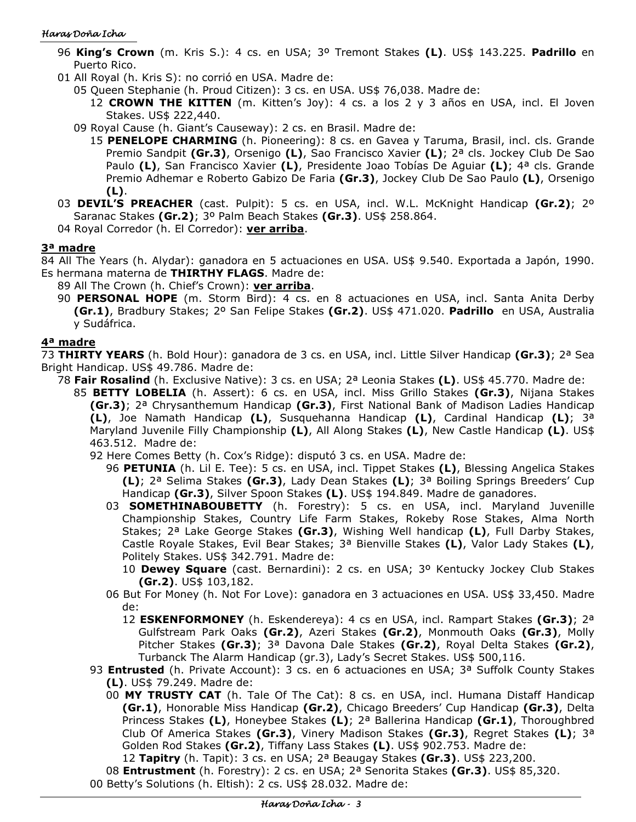### Haras Doña Icha

- 96 **King's Crown** (m. Kris S.): 4 cs. en USA; 3º Tremont Stakes **(L)**. US\$ 143.225. **Padrillo** en Puerto Rico.
- 01 All Royal (h. Kris S): no corrió en USA. Madre de:
	- 05 Queen Stephanie (h. Proud Citizen): 3 cs. en USA. US\$ 76,038. Madre de:
		- 12 **CROWN THE KITTEN** (m. Kitten's Joy): 4 cs. a los 2 y 3 años en USA, incl. El Joven Stakes. US\$ 222,440.
	- 09 Royal Cause (h. Giant's Causeway): 2 cs. en Brasil. Madre de:
		- 15 **PENELOPE CHARMING** (h. Pioneering): 8 cs. en Gavea y Taruma, Brasil, incl. cls. Grande Premio Sandpit **(Gr.3)**, Orsenigo **(L)**, Sao Francisco Xavier **(L)**; 2ª cls. Jockey Club De Sao Paulo **(L)**, San Francisco Xavier **(L)**, Presidente Joao Tobías De Aguiar **(L)**; 4ª cls. Grande Premio Adhemar e Roberto Gabizo De Faria **(Gr.3)**, Jockey Club De Sao Paulo **(L)**, Orsenigo **(L)**.
- 03 **DEVIL'S PREACHER** (cast. Pulpit): 5 cs. en USA, incl. W.L. McKnight Handicap **(Gr.2)**; 2º Saranac Stakes **(Gr.2)**; 3º Palm Beach Stakes **(Gr.3)**. US\$ 258.864.
- 04 Royal Corredor (h. El Corredor): **ver arriba**.

# **3ª madre**

84 All The Years (h. Alydar): ganadora en 5 actuaciones en USA. US\$ 9.540. Exportada a Japón, 1990. Es hermana materna de **THIRTHY FLAGS**. Madre de:

- 89 All The Crown (h. Chief's Crown): **ver arriba**.
	- 90 **PERSONAL HOPE** (m. Storm Bird): 4 cs. en 8 actuaciones en USA, incl. Santa Anita Derby **(Gr.1)**, Bradbury Stakes; 2º San Felipe Stakes **(Gr.2)**. US\$ 471.020. **Padrillo** en USA, Australia y Sudáfrica.

# **4ª madre**

73 **THIRTY YEARS** (h. Bold Hour): ganadora de 3 cs. en USA, incl. Little Silver Handicap **(Gr.3)**; 2ª Sea Bright Handicap. US\$ 49.786. Madre de:

- 78 **Fair Rosalind** (h. Exclusive Native): 3 cs. en USA; 2ª Leonia Stakes **(L)**. US\$ 45.770. Madre de:
	- 85 **BETTY LOBELIA** (h. Assert): 6 cs. en USA, incl. Miss Grillo Stakes **(Gr.3)**, Nijana Stakes **(Gr.3)**; 2ª Chrysanthemum Handicap **(Gr.3)**, First National Bank of Madison Ladies Handicap **(L)**, Joe Namath Handicap **(L)**, Susquehanna Handicap **(L)**, Cardinal Handicap **(L)**; 3ª Maryland Juvenile Filly Championship **(L)**, All Along Stakes **(L)**, New Castle Handicap **(L)**. US\$ 463.512. Madre de:
		- 92 Here Comes Betty (h. Cox's Ridge): disputó 3 cs. en USA. Madre de:
			- 96 **PETUNIA** (h. Lil E. Tee): 5 cs. en USA, incl. Tippet Stakes **(L)**, Blessing Angelica Stakes **(L)**; 2ª Selima Stakes **(Gr.3)**, Lady Dean Stakes **(L)**; 3ª Boiling Springs Breeders' Cup Handicap **(Gr.3)**, Silver Spoon Stakes **(L)**. US\$ 194.849. Madre de ganadores.
			- 03 **SOMETHINABOUBETTY** (h. Forestry): 5 cs. en USA, incl. Maryland Juvenille Championship Stakes, Country Life Farm Stakes, Rokeby Rose Stakes, Alma North Stakes; 2ª Lake George Stakes **(Gr.3)**, Wishing Well handicap **(L)**, Full Darby Stakes, Castle Royale Stakes, Evil Bear Stakes; 3ª Bienville Stakes **(L)**, Valor Lady Stakes **(L)**, Politely Stakes. US\$ 342.791. Madre de:
				- 10 **Dewey Square** (cast. Bernardini): 2 cs. en USA; 3º Kentucky Jockey Club Stakes **(Gr.2)**. US\$ 103,182.
			- 06 But For Money (h. Not For Love): ganadora en 3 actuaciones en USA. US\$ 33,450. Madre de:
				- 12 **ESKENFORMONEY** (h. Eskendereya): 4 cs en USA, incl. Rampart Stakes **(Gr.3)**; 2ª Gulfstream Park Oaks **(Gr.2)**, Azeri Stakes **(Gr.2)**, Monmouth Oaks **(Gr.3)**, Molly Pitcher Stakes **(Gr.3)**; 3ª Davona Dale Stakes **(Gr.2)**, Royal Delta Stakes **(Gr.2)**, Turbanck The Alarm Handicap (gr.3), Lady's Secret Stakes. US\$ 500,116.
		- 93 **Entrusted** (h. Private Account): 3 cs. en 6 actuaciones en USA; 3ª Suffolk County Stakes **(L)**. US\$ 79.249. Madre de:
			- 00 **MY TRUSTY CAT** (h. Tale Of The Cat): 8 cs. en USA, incl. Humana Distaff Handicap **(Gr.1)**, Honorable Miss Handicap **(Gr.2)**, Chicago Breeders' Cup Handicap **(Gr.3)**, Delta Princess Stakes **(L)**, Honeybee Stakes **(L)**; 2ª Ballerina Handicap **(Gr.1)**, Thoroughbred Club Of America Stakes **(Gr.3)**, Vinery Madison Stakes **(Gr.3)**, Regret Stakes **(L)**; 3ª Golden Rod Stakes **(Gr.2)**, Tiffany Lass Stakes **(L)**. US\$ 902.753. Madre de:

12 **Tapitry** (h. Tapit): 3 cs. en USA; 2ª Beaugay Stakes **(Gr.3)**. US\$ 223,200.

08 **Entrustment** (h. Forestry): 2 cs. en USA; 2ª Senorita Stakes **(Gr.3)**. US\$ 85,320.

00 Betty's Solutions (h. Eltish): 2 cs. US\$ 28.032. Madre de: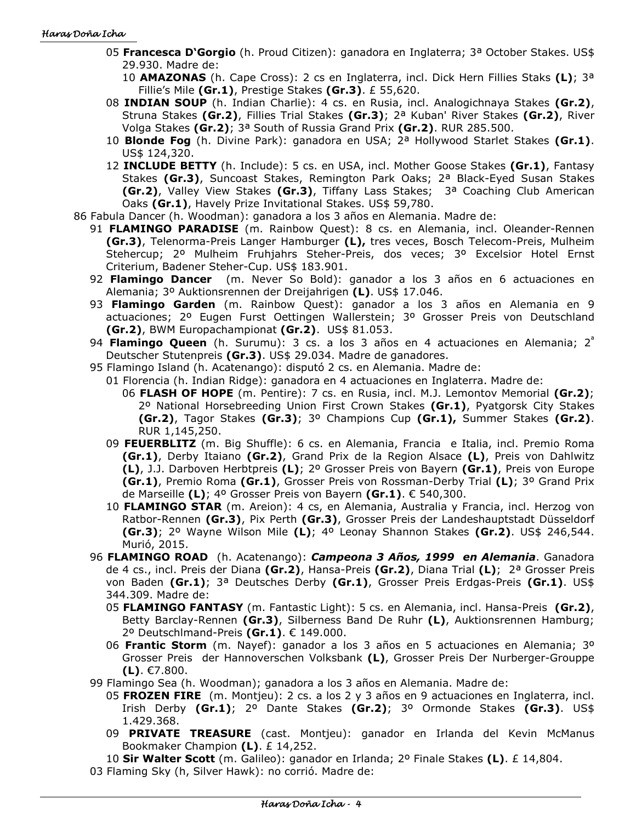- 05 **Francesca D'Gorgio** (h. Proud Citizen): ganadora en Inglaterra; 3ª October Stakes. US\$ 29.930. Madre de:
	- 10 **AMAZONAS** (h. Cape Cross): 2 cs en Inglaterra, incl. Dick Hern Fillies Staks **(L)**; 3ª Fillie's Mile **(Gr.1)**, Prestige Stakes **(Gr.3)**. £ 55,620.
- 08 **INDIAN SOUP** (h. Indian Charlie): 4 cs. en Rusia, incl. Analogichnaya Stakes **(Gr.2)**, Struna Stakes **(Gr.2)**, Fillies Trial Stakes **(Gr.3)**; 2ª Kuban' River Stakes **(Gr.2)**, River Volga Stakes **(Gr.2)**; 3ª South of Russia Grand Prix **(Gr.2)**. RUR 285.500.
- 10 **Blonde Fog** (h. Divine Park): ganadora en USA; 2ª Hollywood Starlet Stakes **(Gr.1)**. US\$ 124,320.
- 12 **INCLUDE BETTY** (h. Include): 5 cs. en USA, incl. Mother Goose Stakes **(Gr.1)**, Fantasy Stakes **(Gr.3)**, Suncoast Stakes, Remington Park Oaks; 2ª Black-Eyed Susan Stakes **(Gr.2)**, Valley View Stakes **(Gr.3)**, Tiffany Lass Stakes; 3ª Coaching Club American Oaks **(Gr.1)**, Havely Prize Invitational Stakes. US\$ 59,780.
- 86 Fabula Dancer (h. Woodman): ganadora a los 3 años en Alemania. Madre de:
	- 91 **FLAMINGO PARADISE** (m. Rainbow Quest): 8 cs. en Alemania, incl. Oleander-Rennen **(Gr.3)**, Telenorma-Preis Langer Hamburger **(L),** tres veces, Bosch Telecom-Preis, Mulheim Stehercup; 2º Mulheim Fruhjahrs Steher-Preis, dos veces; 3º Excelsior Hotel Ernst Criterium, Badener Steher-Cup. US\$ 183.901.
	- 92 **Flamingo Dancer** (m. Never So Bold): ganador a los 3 años en 6 actuaciones en Alemania; 3º Auktionsrennen der Dreijahrigen **(L)**. US\$ 17.046.
	- 93 **Flamingo Garden** (m. Rainbow Quest): ganador a los 3 años en Alemania en 9 actuaciones; 2º Eugen Furst Oettingen Wallerstein; 3º Grosser Preis von Deutschland **(Gr.2)**, BWM Europachampionat **(Gr.2)**. US\$ 81.053.
	- 94 **Flamingo Queen** (h. Surumu): 3 cs. a los 3 años en 4 actuaciones en Alemania; 2<sup>ª</sup> Deutscher Stutenpreis **(Gr.3)**. US\$ 29.034. Madre de ganadores.
	- 95 Flamingo Island (h. Acatenango): disputó 2 cs. en Alemania. Madre de:
		- 01 Florencia (h. Indian Ridge): ganadora en 4 actuaciones en Inglaterra. Madre de:
			- 06 **FLASH OF HOPE** (m. Pentire): 7 cs. en Rusia, incl. M.J. Lemontov Memorial **(Gr.2)**; 2º National Horsebreeding Union First Crown Stakes **(Gr.1)**, Pyatgorsk City Stakes **(Gr.2)**, Tagor Stakes **(Gr.3)**; 3º Champions Cup **(Gr.1),** Summer Stakes **(Gr.2)**. RUR 1,145,250.
		- 09 **FEUERBLITZ** (m. Big Shuffle): 6 cs. en Alemania, Francia e Italia, incl. Premio Roma **(Gr.1)**, Derby Itaiano **(Gr.2)**, Grand Prix de la Region Alsace **(L)**, Preis von Dahlwitz **(L)**, J.J. Darboven Herbtpreis **(L)**; 2º Grosser Preis von Bayern **(Gr.1)**, Preis von Europe **(Gr.1)**, Premio Roma **(Gr.1)**, Grosser Preis von Rossman-Derby Trial **(L)**; 3º Grand Prix de Marseille **(L)**; 4º Grosser Preis von Bayern **(Gr.1)**. € 540,300.
		- 10 **FLAMINGO STAR** (m. Areion): 4 cs, en Alemania, Australia y Francia, incl. Herzog von Ratbor-Rennen **(Gr.3)**, Pix Perth **(Gr.3)**, Grosser Preis der Landeshauptstadt Düsseldorf **(Gr.3)**; 2º Wayne Wilson Mile **(L)**; 4º Leonay Shannon Stakes **(Gr.2)**. US\$ 246,544. Murió, 2015.
	- 96 **FLAMINGO ROAD** (h. Acatenango): *Campeona 3 Años, 1999 en Alemania*. Ganadora de 4 cs., incl. Preis der Diana **(Gr.2)**, Hansa-Preis **(Gr.2)**, Diana Trial **(L)**; 2ª Grosser Preis von Baden **(Gr.1)**; 3ª Deutsches Derby **(Gr.1)**, Grosser Preis Erdgas-Preis **(Gr.1)**. US\$ 344.309. Madre de:
		- 05 **FLAMINGO FANTASY** (m. Fantastic Light): 5 cs. en Alemania, incl. Hansa-Preis **(Gr.2)**, Betty Barclay-Rennen **(Gr.3)**, Silberness Band De Ruhr **(L)**, Auktionsrennen Hamburg; 2º Deutschlmand-Preis **(Gr.1)**. € 149.000.
		- 06 **Frantic Storm** (m. Nayef): ganador a los 3 años en 5 actuaciones en Alemania; 3º Grosser Preis der Hannoverschen Volksbank **(L)**, Grosser Preis Der Nurberger-Grouppe **(L)**. €7.800.
	- 99 Flamingo Sea (h. Woodman); ganadora a los 3 años en Alemania. Madre de:
		- 05 **FROZEN FIRE** (m. Montjeu): 2 cs. a los 2 y 3 años en 9 actuaciones en Inglaterra, incl. Irish Derby **(Gr.1)**; 2º Dante Stakes **(Gr.2)**; 3º Ormonde Stakes **(Gr.3)**. US\$ 1.429.368.
		- 09 **PRIVATE TREASURE** (cast. Montjeu): ganador en Irlanda del Kevin McManus Bookmaker Champion **(L)**. £ 14,252.

10 **Sir Walter Scott** (m. Galileo): ganador en Irlanda; 2º Finale Stakes **(L)**. £ 14,804.

03 Flaming Sky (h, Silver Hawk): no corrió. Madre de: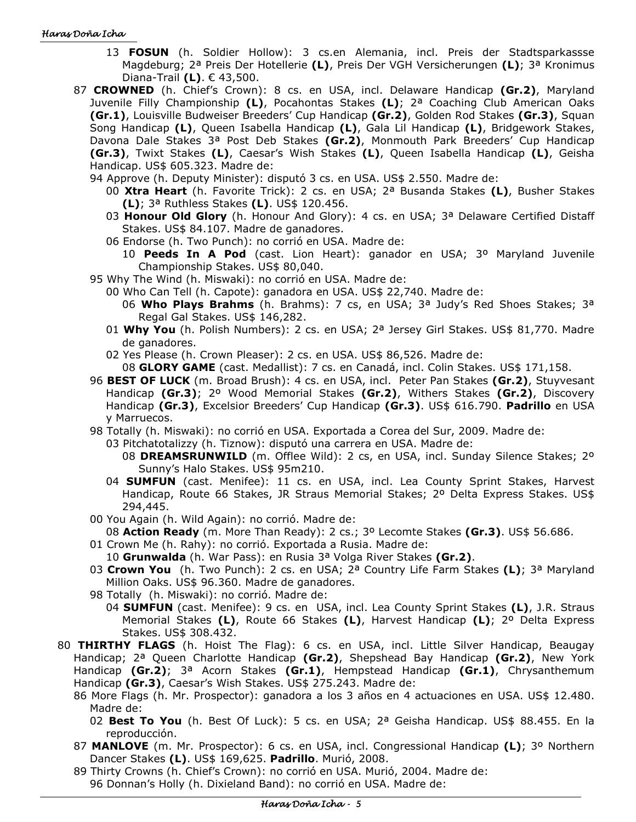#### Haras Doña Icha

- 13 **FOSUN** (h. Soldier Hollow): 3 cs.en Alemania, incl. Preis der Stadtsparkassse Magdeburg; 2ª Preis Der Hotellerie **(L)**, Preis Der VGH Versicherungen **(L)**; 3ª Kronimus Diana-Trail **(L)**. € 43,500.
- 87 **CROWNED** (h. Chief's Crown): 8 cs. en USA, incl. Delaware Handicap **(Gr.2)**, Maryland Juvenile Filly Championship **(L)**, Pocahontas Stakes **(L)**; 2ª Coaching Club American Oaks **(Gr.1)**, Louisville Budweiser Breeders' Cup Handicap **(Gr.2)**, Golden Rod Stakes **(Gr.3)**, Squan Song Handicap **(L)**, Queen Isabella Handicap **(L)**, Gala Lil Handicap **(L)**, Bridgework Stakes, Davona Dale Stakes 3ª Post Deb Stakes **(Gr.2)**, Monmouth Park Breeders' Cup Handicap **(Gr.3)**, Twixt Stakes **(L)**, Caesar's Wish Stakes **(L)**, Queen Isabella Handicap **(L)**, Geisha Handicap. US\$ 605.323. Madre de:
	- 94 Approve (h. Deputy Minister): disputó 3 cs. en USA. US\$ 2.550. Madre de:
		- 00 **Xtra Heart** (h. Favorite Trick): 2 cs. en USA; 2ª Busanda Stakes **(L)**, Busher Stakes **(L)**; 3ª Ruthless Stakes **(L)**. US\$ 120.456.
		- 03 **Honour Old Glory** (h. Honour And Glory): 4 cs. en USA; 3ª Delaware Certified Distaff Stakes. US\$ 84.107. Madre de ganadores.
		- 06 Endorse (h. Two Punch): no corrió en USA. Madre de:
			- 10 **Peeds In A Pod** (cast. Lion Heart): ganador en USA; 3º Maryland Juvenile Championship Stakes. US\$ 80,040.
	- 95 Why The Wind (h. Miswaki): no corrió en USA. Madre de:
		- 00 Who Can Tell (h. Capote): ganadora en USA. US\$ 22,740. Madre de:
			- 06 **Who Plays Brahms** (h. Brahms): 7 cs, en USA; 3ª Judy's Red Shoes Stakes; 3ª Regal Gal Stakes. US\$ 146,282.
		- 01 **Why You** (h. Polish Numbers): 2 cs. en USA; 2ª Jersey Girl Stakes. US\$ 81,770. Madre de ganadores.
		- 02 Yes Please (h. Crown Pleaser): 2 cs. en USA. US\$ 86,526. Madre de:

08 **GLORY GAME** (cast. Medallist): 7 cs. en Canadá, incl. Colin Stakes. US\$ 171,158.

- 96 **BEST OF LUCK** (m. Broad Brush): 4 cs. en USA, incl. Peter Pan Stakes **(Gr.2)**, Stuyvesant Handicap **(Gr.3)**; 2º Wood Memorial Stakes **(Gr.2)**, Withers Stakes **(Gr.2)**, Discovery Handicap **(Gr.3)**, Excelsior Breeders' Cup Handicap **(Gr.3)**. US\$ 616.790. **Padrillo** en USA y Marruecos.
- 98 Totally (h. Miswaki): no corrió en USA. Exportada a Corea del Sur, 2009. Madre de:

03 Pitchatotalizzy (h. Tiznow): disputó una carrera en USA. Madre de:

- 08 **DREAMSRUNWILD** (m. Offlee Wild): 2 cs, en USA, incl. Sunday Silence Stakes; 2º Sunny's Halo Stakes. US\$ 95m210.
- 04 **SUMFUN** (cast. Menifee): 11 cs. en USA, incl. Lea County Sprint Stakes, Harvest Handicap, Route 66 Stakes, JR Straus Memorial Stakes; 2º Delta Express Stakes. US\$ 294,445.
- 00 You Again (h. Wild Again): no corrió. Madre de:

08 **Action Ready** (m. More Than Ready): 2 cs.; 3º Lecomte Stakes **(Gr.3)**. US\$ 56.686.

- 01 Crown Me (h. Rahy): no corrió. Exportada a Rusia. Madre de:
	- 10 **Grunwalda** (h. War Pass): en Rusia 3ª Volga River Stakes **(Gr.2)**.
- 03 **Crown You** (h. Two Punch): 2 cs. en USA; 2ª Country Life Farm Stakes **(L)**; 3ª Maryland Million Oaks. US\$ 96.360. Madre de ganadores.
- 98 Totally (h. Miswaki): no corrió. Madre de:
	- 04 **SUMFUN** (cast. Menifee): 9 cs. en USA, incl. Lea County Sprint Stakes **(L)**, J.R. Straus Memorial Stakes **(L)**, Route 66 Stakes **(L)**, Harvest Handicap **(L)**; 2º Delta Express Stakes. US\$ 308.432.
- 80 **THIRTHY FLAGS** (h. Hoist The Flag): 6 cs. en USA, incl. Little Silver Handicap, Beaugay Handicap; 2ª Queen Charlotte Handicap **(Gr.2)**, Shepshead Bay Handicap **(Gr.2)**, New York Handicap **(Gr.2)**; 3ª Acorn Stakes **(Gr.1)**, Hempstead Handicap **(Gr.1)**, Chrysanthemum Handicap **(Gr.3)**, Caesar's Wish Stakes. US\$ 275.243. Madre de:
	- 86 More Flags (h. Mr. Prospector): ganadora a los 3 años en 4 actuaciones en USA. US\$ 12.480. Madre de:
		- 02 **Best To You** (h. Best Of Luck): 5 cs. en USA; 2ª Geisha Handicap. US\$ 88.455. En la reproducción.
	- 87 **MANLOVE** (m. Mr. Prospector): 6 cs. en USA, incl. Congressional Handicap **(L)**; 3º Northern Dancer Stakes **(L)**. US\$ 169,625. **Padrillo**. Murió, 2008.
	- 89 Thirty Crowns (h. Chief's Crown): no corrió en USA. Murió, 2004. Madre de: 96 Donnan's Holly (h. Dixieland Band): no corrió en USA. Madre de: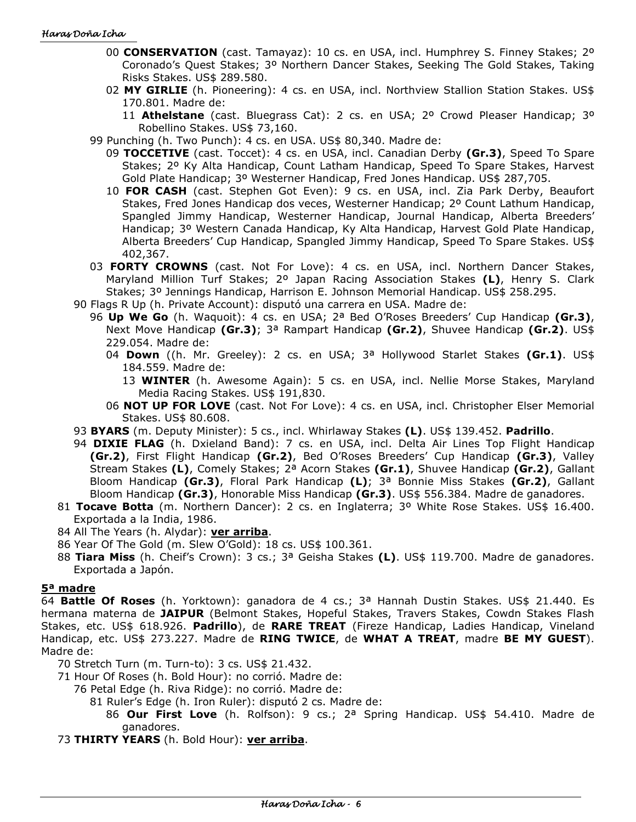- 00 **CONSERVATION** (cast. Tamayaz): 10 cs. en USA, incl. Humphrey S. Finney Stakes; 2º Coronado's Quest Stakes; 3º Northern Dancer Stakes, Seeking The Gold Stakes, Taking Risks Stakes. US\$ 289.580.
- 02 **MY GIRLIE** (h. Pioneering): 4 cs. en USA, incl. Northview Stallion Station Stakes. US\$ 170.801. Madre de:
	- 11 **Athelstane** (cast. Bluegrass Cat): 2 cs. en USA; 2º Crowd Pleaser Handicap; 3º Robellino Stakes. US\$ 73,160.
- 99 Punching (h. Two Punch): 4 cs. en USA. US\$ 80,340. Madre de:
	- 09 **TOCCETIVE** (cast. Toccet): 4 cs. en USA, incl. Canadian Derby **(Gr.3)**, Speed To Spare Stakes; 2º Ky Alta Handicap, Count Latham Handicap, Speed To Spare Stakes, Harvest Gold Plate Handicap; 3º Westerner Handicap, Fred Jones Handicap. US\$ 287,705.
	- 10 **FOR CASH** (cast. Stephen Got Even): 9 cs. en USA, incl. Zia Park Derby, Beaufort Stakes, Fred Jones Handicap dos veces, Westerner Handicap; 2º Count Lathum Handicap, Spangled Jimmy Handicap, Westerner Handicap, Journal Handicap, Alberta Breeders' Handicap; 3º Western Canada Handicap, Ky Alta Handicap, Harvest Gold Plate Handicap, Alberta Breeders' Cup Handicap, Spangled Jimmy Handicap, Speed To Spare Stakes. US\$ 402,367.
- 03 **FORTY CROWNS** (cast. Not For Love): 4 cs. en USA, incl. Northern Dancer Stakes, Maryland Million Turf Stakes; 2º Japan Racing Association Stakes **(L)**, Henry S. Clark Stakes; 3º Jennings Handicap, Harrison E. Johnson Memorial Handicap. US\$ 258.295.
- 90 Flags R Up (h. Private Account): disputó una carrera en USA. Madre de:
	- 96 **Up We Go** (h. Waquoit): 4 cs. en USA; 2ª Bed O'Roses Breeders' Cup Handicap **(Gr.3)**, Next Move Handicap **(Gr.3)**; 3ª Rampart Handicap **(Gr.2)**, Shuvee Handicap **(Gr.2)**. US\$ 229.054. Madre de:
		- 04 **Down** ((h. Mr. Greeley): 2 cs. en USA; 3ª Hollywood Starlet Stakes **(Gr.1)**. US\$ 184.559. Madre de:
			- 13 **WINTER** (h. Awesome Again): 5 cs. en USA, incl. Nellie Morse Stakes, Maryland Media Racing Stakes. US\$ 191,830.
		- 06 **NOT UP FOR LOVE** (cast. Not For Love): 4 cs. en USA, incl. Christopher Elser Memorial Stakes. US\$ 80.608.
- 93 **BYARS** (m. Deputy Minister): 5 cs., incl. Whirlaway Stakes **(L)**. US\$ 139.452. **Padrillo**.
- 94 **DIXIE FLAG** (h. Dxieland Band): 7 cs. en USA, incl. Delta Air Lines Top Flight Handicap **(Gr.2)**, First Flight Handicap **(Gr.2)**, Bed O'Roses Breeders' Cup Handicap **(Gr.3)**, Valley Stream Stakes **(L)**, Comely Stakes; 2ª Acorn Stakes **(Gr.1)**, Shuvee Handicap **(Gr.2)**, Gallant Bloom Handicap **(Gr.3)**, Floral Park Handicap **(L)**; 3ª Bonnie Miss Stakes **(Gr.2)**, Gallant Bloom Handicap **(Gr.3)**, Honorable Miss Handicap **(Gr.3)**. US\$ 556.384. Madre de ganadores.
- 81 **Tocave Botta** (m. Northern Dancer): 2 cs. en Inglaterra; 3º White Rose Stakes. US\$ 16.400. Exportada a la India, 1986.

84 All The Years (h. Alydar): **ver arriba**.

- 86 Year Of The Gold (m. Slew O'Gold): 18 cs. US\$ 100.361.
- 88 **Tiara Miss** (h. Cheif's Crown): 3 cs.; 3ª Geisha Stakes **(L)**. US\$ 119.700. Madre de ganadores. Exportada a Japón.

### **5ª madre**

64 **Battle Of Roses** (h. Yorktown): ganadora de 4 cs.; 3ª Hannah Dustin Stakes. US\$ 21.440. Es hermana materna de **JAIPUR** (Belmont Stakes, Hopeful Stakes, Travers Stakes, Cowdn Stakes Flash Stakes, etc. US\$ 618.926. **Padrillo**), de **RARE TREAT** (Fireze Handicap, Ladies Handicap, Vineland Handicap, etc. US\$ 273.227. Madre de **RING TWICE**, de **WHAT A TREAT**, madre **BE MY GUEST**). Madre de:

70 Stretch Turn (m. Turn-to): 3 cs. US\$ 21.432.

- 71 Hour Of Roses (h. Bold Hour): no corrió. Madre de:
	- 76 Petal Edge (h. Riva Ridge): no corrió. Madre de:
		- 81 Ruler's Edge (h. Iron Ruler): disputó 2 cs. Madre de:
			- 86 **Our First Love** (h. Rolfson): 9 cs.; 2ª Spring Handicap. US\$ 54.410. Madre de ganadores.

73 **THIRTY YEARS** (h. Bold Hour): **ver arriba**.